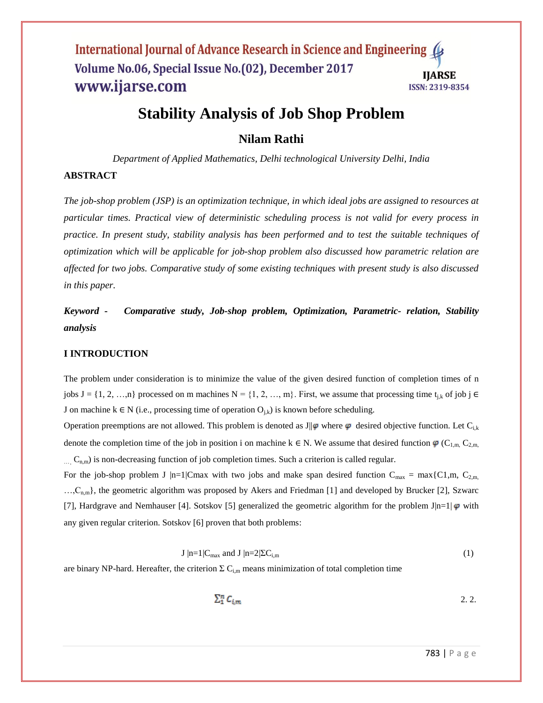# **Stability Analysis of Job Shop Problem**

# **Nilam Rathi**

*Department of Applied Mathematics, Delhi technological University Delhi, India*

## **ABSTRACT**

*The job-shop problem (JSP) is an optimization technique, in which ideal jobs are assigned to resources at particular times. Practical view of deterministic scheduling process is not valid for every process in practice. In present study, stability analysis has been performed and to test the suitable techniques of optimization which will be applicable for job-shop problem also discussed how parametric relation are affected for two jobs. Comparative study of some existing techniques with present study is also discussed in this paper.*

*Keyword* **-** *Comparative study, Job-shop problem, Optimization, Parametric- relation, Stability analysis*

#### **I INTRODUCTION**

The problem under consideration is to minimize the value of the given desired function of completion times of n jobs  $J = \{1, 2, ..., n\}$  processed on m machines  $N = \{1, 2, ..., m\}$ . First, we assume that processing time  $t_{j,k}$  of job j  $\in$ J on machine  $k \in N$  (i.e., processing time of operation  $O_{i,k}$ ) is known before scheduling.

Operation preemptions are not allowed. This problem is denoted as J|| $\varphi$  where  $\varphi$  desired objective function. Let C<sub>ik</sub> denote the completion time of the job in position i on machine k  $\in$  N. We assume that desired function  $\varphi$  (C<sub>1,m,</sub> C<sub>2,m,</sub>  $C_{n,m}$ ) is non-decreasing function of job completion times. Such a criterion is called regular.

For the job-shop problem J |n=1|Cmax with two jobs and make span desired function  $C_{max} = max\{C1,m, C_{2,m}$  $...,C_{n,m}$ , the geometric algorithm was proposed by Akers and Friedman [1] and developed by Brucker [2], Szwarc [7], Hardgrave and Nemhauser [4]. Sotskov [5] generalized the geometric algorithm for the problem  $J|n=1|\phi$  with any given regular criterion. Sotskov [6] proven that both problems:

$$
J \mid n=1 \mid C_{\text{max}} \text{ and } J \mid n=2 \mid \Sigma C_{i,m} \tag{1}
$$

are binary NP-hard. Hereafter, the criterion  $\Sigma$  C<sub>i,m</sub> means minimization of total completion time

 $\sum_{i=1}^{n} C_{i,m}$  2.2.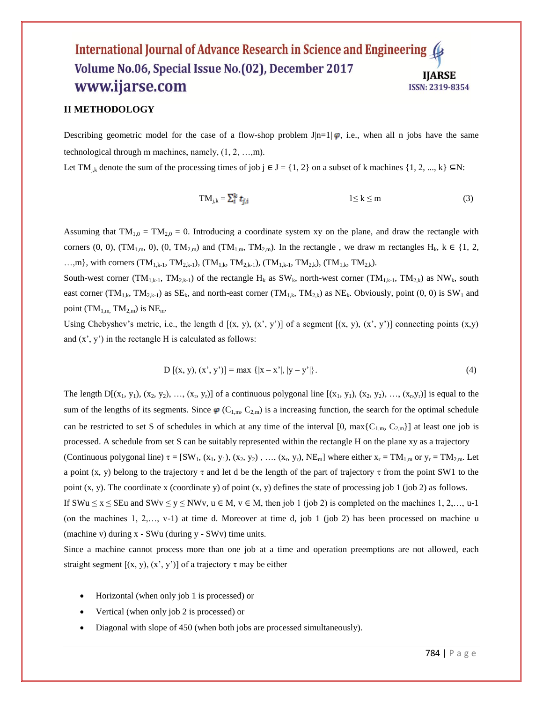#### **II METHODOLOGY**

Describing geometric model for the case of a flow-shop problem J|n=1|  $\varphi$ , i.e., when all n jobs have the same technological through m machines, namely, (1, 2, …,m).

Let TM<sub>ik</sub> denote the sum of the processing times of job j  $\in$  J = {1, 2} on a subset of k machines {1, 2, ..., k}  $\subseteq$ N:

$$
TM_{j,k} = \sum_{i=1}^{k} t_{j,i} \qquad \qquad 1 \le k \le m \tag{3}
$$

Assuming that  $TM_{1,0} = TM_{2,0} = 0$ . Introducing a coordinate system xy on the plane, and draw the rectangle with corners (0, 0), (TM<sub>1,m</sub>, 0), (0, TM<sub>2,m</sub>) and (TM<sub>1,m</sub>, TM<sub>2,m</sub>). In the rectangle, we draw m rectangles H<sub>k</sub>, k  $\in$  {1, 2, ...,m}, with corners  $(TM_{1,k-1}, TM_{2,k-1})$ ,  $(TM_{1,k}, TM_{2,k-1})$ ,  $(TM_{1,k-1}, TM_{2,k})$ ,  $(TM_{1,k}, TM_{2,k})$ .

South-west corner (TM<sub>1,k-1</sub>, TM<sub>2,k-1</sub>) of the rectangle H<sub>k</sub> as SW<sub>k</sub>, north-west corner (TM<sub>1,k-1</sub>, TM<sub>2,k</sub>) as NW<sub>k</sub>, south east corner (TM<sub>1,k</sub>, TM<sub>2,k-1</sub>) as SE<sub>k</sub>, and north-east corner (TM<sub>1,k</sub>, TM<sub>2,k</sub>) as NE<sub>k</sub>. Obviously, point (0, 0) is SW<sub>1</sub> and point (TM<sub>1,m,</sub> TM<sub>2,m</sub>) is NE<sub>m</sub>.

Using Chebyshev's metric, i.e., the length d  $[(x, y), (x', y')]$  of a segment  $[(x, y), (x', y')]$  connecting points  $(x,y)$ and  $(x', y')$  in the rectangle H is calculated as follows:

$$
D [(x, y), (x', y')] = max { |x - x'|, |y - y'| }.
$$
 (4)

The length  $D[(x_1, y_1), (x_2, y_2), ..., (x_r, y_r)]$  of a continuous polygonal line  $[(x_1, y_1), (x_2, y_2), ..., (x_r, y_r)]$  is equal to the sum of the lengths of its segments. Since  $\varphi$  (C<sub>1,m</sub>, C<sub>2,m</sub>) is a increasing function, the search for the optimal schedule can be restricted to set S of schedules in which at any time of the interval [0, max{ $C_{1,m}$ ,  $C_{2,m}$ }] at least one job is processed. A schedule from set S can be suitably represented within the rectangle H on the plane xy as a trajectory (Continuous polygonal line)  $\tau = [SW_1, (x_1, y_1), (x_2, y_2), ..., (x_r, y_r), NE_m]$  where either  $x_r = TM_{1,m}$  or  $y_r = TM_{2,m}$ . Let a point (x, y) belong to the trajectory  $\tau$  and let d be the length of the part of trajectory  $\tau$  from the point SW1 to the point  $(x, y)$ . The coordinate x (coordinate y) of point  $(x, y)$  defines the state of processing job 1 (job 2) as follows. If SWu  $\le x \le$  SEu and SWv  $\le y \le N$ Wv,  $u \in M$ ,  $v \in M$ , then job 1 (job 2) is completed on the machines 1, 2,..., u-1 (on the machines 1, 2,…, v-1) at time d. Moreover at time d, job 1 (job 2) has been processed on machine u (machine v) during x - SWu (during y - SWv) time units.

Since a machine cannot process more than one job at a time and operation preemptions are not allowed, each straight segment  $[(x, y), (x', y')]$  of a trajectory  $\tau$  may be either

- Horizontal (when only job 1 is processed) or
- Vertical (when only job 2 is processed) or
- Diagonal with slope of 450 (when both jobs are processed simultaneously).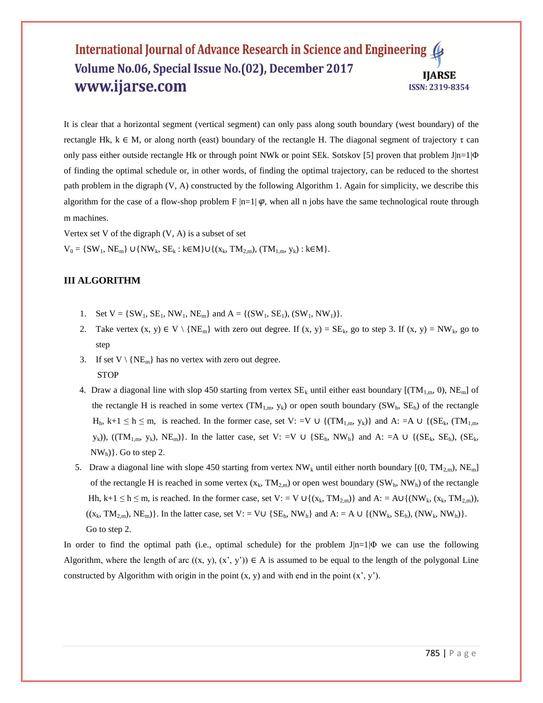It is clear that a horizontal segment (vertical segment) can only pass along south boundary (west boundary) of the rectangle Hk,  $k \in M$ , or along north (east) boundary of the rectangle H. The diagonal segment of trajectory τ can only pass either outside rectangle Hk or through point NWk or point SEk. Sotskov [5] proven that problem J $|n=1|\Phi$ of finding the optimal schedule or, in other words, of finding the optimal trajectory, can be reduced to the shortest path problem in the digraph (V, A) constructed by the following Algorithm 1. Again for simplicity, we describe this algorithm for the case of a flow-shop problem F  $|n=1|\phi$ , when all n jobs have the same technological route through m machines.

Vertex set V of the digraph  $(V, A)$  is a subset of set  $V_0 = \{SW_1, NE_m\} \cup \{NW_k, SE_k : k \in M\} \cup \{(x_k, TM_{2,m}), (TM_{1,m}, y_k) : k \in M\}.$ 

# **III ALGORITHM**

- 1. Set  $V = \{SW_1, SE_1, NW_1, NE_m\}$  and  $A = \{(SW_1, SE_1), (SW_1, NW_1)\}.$
- 2. Take vertex  $(x, y) \in V \setminus \{NE_m\}$  with zero out degree. If  $(x, y) = SE_k$ , go to step 3. If  $(x, y) = NW_k$ , go to step
- 3. If set  $V \setminus \{NE_m\}$  has no vertex with zero out degree. **STOP**
- 4. Draw a diagonal line with slop 450 starting from vertex  $SE_k$  until either east boundary [(TM<sub>1,m</sub>, 0), NE<sub>m</sub>] of the rectangle H is reached in some vertex  $(TM_{1,m}, y_k)$  or open south boundary  $(SW_h, SE_h)$  of the rectangle  $H_h$ , k+1  $\leq$  h  $\leq$  m, is reached. In the former case, set V: =V  $\cup$  {(TM<sub>1,m</sub>, y<sub>k</sub>)} and A: =A  $\cup$  {(SE<sub>k</sub>, (TM<sub>1,m</sub>,  $y_k$ )), ((TM<sub>1,m</sub>,  $y_k$ ), NE<sub>m</sub>)}. In the latter case, set V: =V ∪ {SE<sub>h</sub>, NW<sub>h</sub>} and A: =A ∪ {(SE<sub>k</sub>, SE<sub>h</sub>), (SE<sub>k</sub>,  $NW<sub>h</sub>$  $\}$ . Go to step 2.
- 5. Draw a diagonal line with slope 450 starting from vertex  $NW_k$  until either north boundary  $[(0, TM_{2m}), NE_m]$ of the rectangle H is reached in some vertex  $(x_k, TM_{2,m})$  or open west boundary  $(SW_h, NW_h)$  of the rectangle Hh, k+1  $\leq$  h  $\leq$  m, is reached. In the former case, set V: = V  $\cup$  {(x<sub>k</sub>, TM<sub>2,m</sub>)} and A: = A $\cup$ {(NW<sub>k</sub>, (x<sub>k</sub>, TM<sub>2,m</sub>)),  $((x_k, TM_{2,m}), NE_m)$ . In the latter case, set  $V: = V \cup \{SE_h, NW_h\}$  and  $A: = A \cup \{ (NW_k, SE_h), (NW_k, NW_h) \}.$ Go to step 2.

In order to find the optimal path (i.e., optimal schedule) for the problem  $J|n=1|\Phi$  we can use the following Algorithm, where the length of arc  $((x, y), (x', y')) \in A$  is assumed to be equal to the length of the polygonal Line constructed by Algorithm with origin in the point  $(x, y)$  and with end in the point  $(x', y')$ .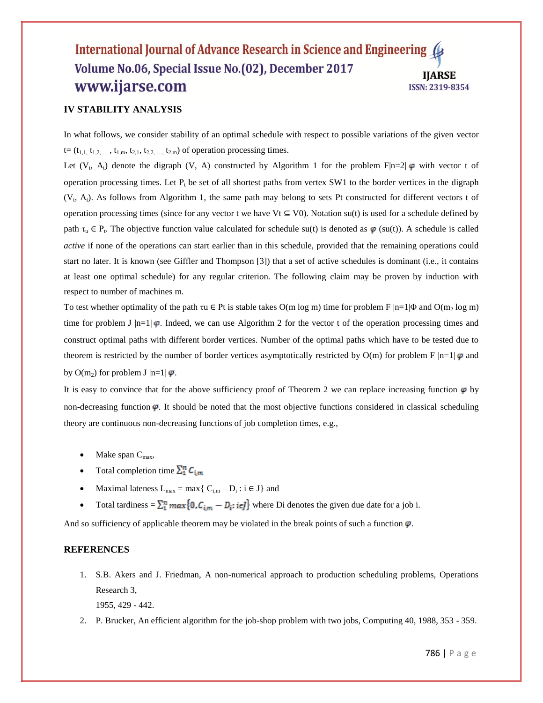## **IV STABILITY ANALYSIS**

In what follows, we consider stability of an optimal schedule with respect to possible variations of the given vector  $t=(t_{1,1}, t_{1,2}, \ldots, t_{1,m}, t_{2,1}, t_{2,2,\ldots}, t_{2,m})$  of operation processing times.

Let  $(V_t, A_t)$  denote the digraph  $(V, A)$  constructed by Algorithm 1 for the problem F|n=2|  $\varphi$  with vector t of operation processing times. Let  $P_t$  be set of all shortest paths from vertex SW1 to the border vertices in the digraph (V<sub>t</sub>, A<sub>t</sub>). As follows from Algorithm 1, the same path may belong to sets Pt constructed for different vectors t of operation processing times (since for any vector t we have  $Vt \subseteq V0$ ). Notation su(t) is used for a schedule defined by path  $\tau_u \in P_t$ . The objective function value calculated for schedule su(t) is denoted as  $\varphi$  (su(t)). A schedule is called *active* if none of the operations can start earlier than in this schedule, provided that the remaining operations could start no later. It is known (see Giffler and Thompson [3]) that a set of active schedules is dominant (i.e., it contains at least one optimal schedule) for any regular criterion. The following claim may be proven by induction with respect to number of machines m.

To test whether optimality of the path τu  $\in$  Pt is stable takes O(m log m) time for problem F  $|n=1|\Phi$  and O(m<sub>2</sub> log m) time for problem J  $|n=1| \varphi$ . Indeed, we can use Algorithm 2 for the vector t of the operation processing times and construct optimal paths with different border vertices. Number of the optimal paths which have to be tested due to theorem is restricted by the number of border vertices asymptotically restricted by O(m) for problem F  $|n=1| \phi$  and by O(m<sub>2</sub>) for problem J  $|n=1| \varphi$ .

It is easy to convince that for the above sufficiency proof of Theorem 2 we can replace increasing function  $\varphi$  by non-decreasing function  $\varphi$ . It should be noted that the most objective functions considered in classical scheduling theory are continuous non-decreasing functions of job completion times, e.g.,

- Make span  $C_{\text{max}}$ ,
- Total completion time  $\sum_{1}^{n} C_{i,m}$
- Maximal lateness  $L_{max} = max\{ C_{i,m} D_i : i \in J \}$  and
- Total tardiness =  $\sum_{i=1}^{n} max\{0, C_{i,m} D_i : i \in J\}$  where Di denotes the given due date for a job i.

And so sufficiency of applicable theorem may be violated in the break points of such a function  $\varphi$ .

#### **REFERENCES**

1. S.B. Akers and J. Friedman, A non-numerical approach to production scheduling problems, Operations Research 3,

1955, 429 - 442.

2. P. Brucker, An efficient algorithm for the job-shop problem with two jobs, Computing 40, 1988, 353 - 359.